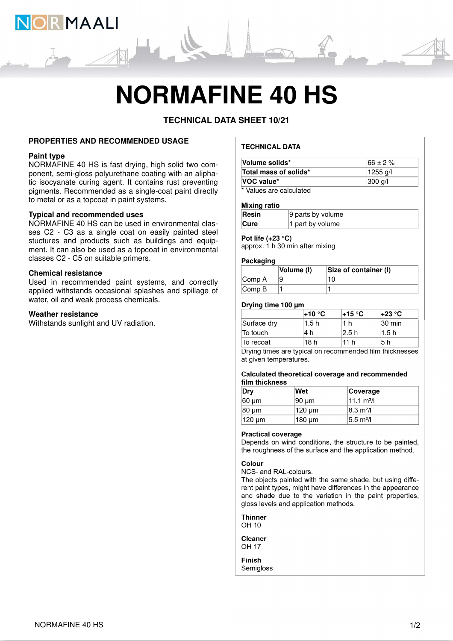

# **NORMAFINE 40 HS**

**TECHNICAL DATA SHEET 10/21**

# **PROPERTIES AND RECOMMENDED USAGE**

#### **Paint type**

NORMAFINE 40 HS is fast drying, high solid two component, semi-gloss polyurethane coating with an aliphatic isocyanate curing agent. It contains rust preventing pigments. Recommended as a single-coat paint directly to metal or as a topcoat in paint systems.

### **Typical and recommended uses**

NORMAFINE 40 HS can be used in environmental classes C2 - C3 as a single coat on easily painted steel stuctures and products such as buildings and equipment. It can also be used as a topcoat in environmental classes C2 - C5 on suitable primers.

#### **Chemical resistance**

Used in recommended paint systems, and correctly applied withstands occasional splashes and spillage of water, oil and weak process chemicals.

#### **Weather resistance**

Withstands sunlight and UV radiation.

# **TECHNICAL DATA**

| Volume solids*                       | $166 \pm 2 \%$     |  |  |
|--------------------------------------|--------------------|--|--|
| Total mass of solids*                | 1255 a/l           |  |  |
| VOC value*                           | $ 300 \text{ q}/ $ |  |  |
| <b><i><u><del>LIII</del></u></i></b> |                    |  |  |

\* Values are calculated

#### **Mixing ratio**

| Resin       | 9 parts by volume |
|-------------|-------------------|
| <b>Cure</b> | 1 part by volume  |

#### **Pot life (+23 °C)**

approx. 1 h 30 min after mixing

### **Packaging**

|                             | Volume (I) | Size of container (I) |
|-----------------------------|------------|-----------------------|
| Comp A                      |            | 10                    |
| $\mathsf{Comp}\,\mathsf{B}$ |            |                       |

# **Drying time 100 µm**

|             | l+10 °C | l+15 °C         | l+23 °C.           |
|-------------|---------|-----------------|--------------------|
| Surface drv | 1.5h    | 1 h             | $ 30 \text{ min} $ |
| To touch    | .4 h    | 2.5 h           | l1.5 h             |
| ∣To recoat  | '18 h   | 11 <sub>h</sub> | 5 h                |

Drying times are typical on recommended film thicknesses at given temperatures.

#### Calculated theoretical coverage and recommended film thickness

| Dry                | Wet    | Coverage             |
|--------------------|--------|----------------------|
| 60 um              | 190 um | $11.1 \text{ m}^2$ / |
| 80 um              | 120 um | $ 8.3 \text{ m}^2 $  |
| $ 120 \text{ µm} $ | 180 um | $5.5 \text{ m}^2$ /  |

#### **Practical coverage**

Depends on wind conditions, the structure to be painted, the roughness of the surface and the application method.

# Colour

NCS- and RAL-colours.

The objects painted with the same shade, but using different paint types, might have differences in the appearance and shade due to the variation in the paint properties, gloss levels and application methods.

**Thinner** OH 10

**Cleaner OH 17** 

**Finish** Semigloss